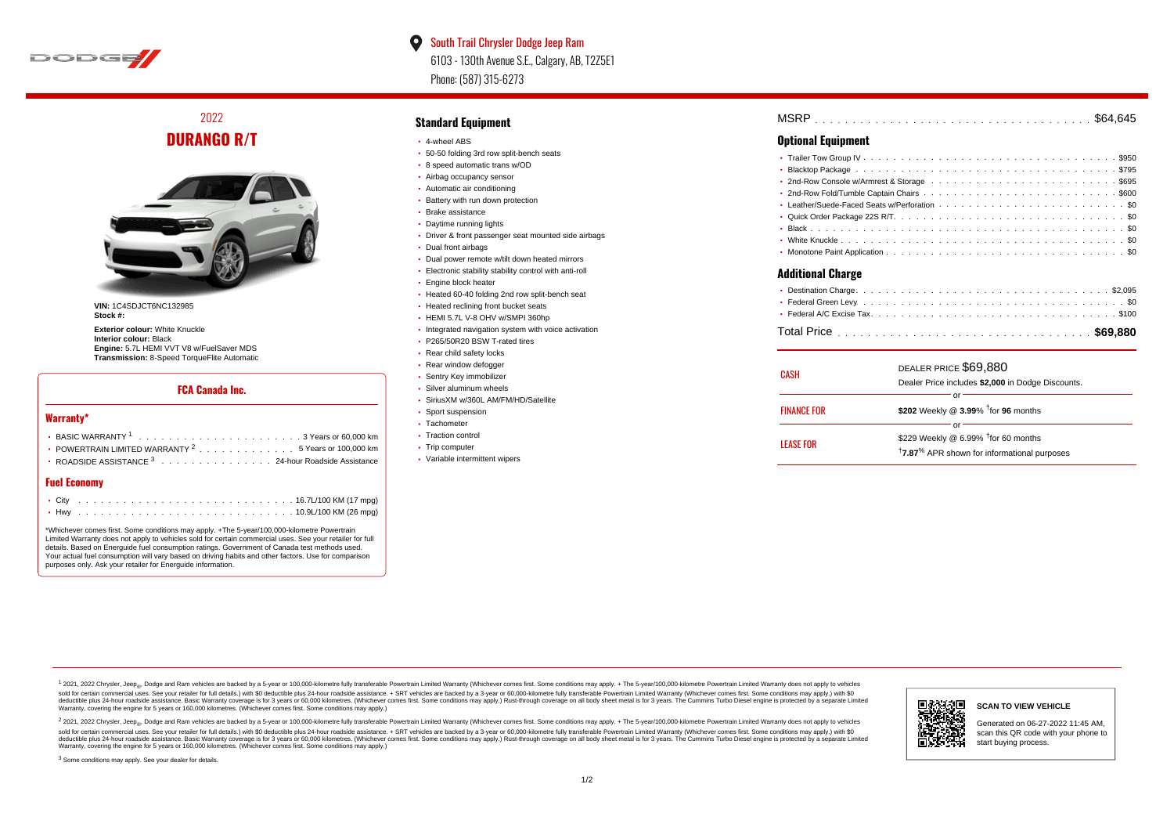

 $\bullet$ South Trail Chrysler Dodge Jeep Ram 6103 - 130th Avenue S.E., Calgary, AB, T2Z5E1 Phone: (587) 315-6273

2022 **DURANGO R/T**



**VIN:** 1C4SDJCT6NC132985 **Stock #:**

**Exterior colour:** White Knuckle **Interior colour:** Black **Engine:** 5.7L HEMI VVT V8 w/FuelSaver MDS **Transmission:** 8-Speed TorqueFlite Automatic

# **FCA Canada Inc.**

### **Warranty\***

| • POWERTRAIN LIMITED WARRANTY <sup>2</sup> 5 Years or 100,000 km |
|------------------------------------------------------------------|
| • ROADSIDE ASSISTANCE 3 24-hour Roadside Assistance              |

# **Fuel Economy**

\*Whichever comes first. Some conditions may apply. +The 5-year/100,000-kilometre Powertrain Limited Warranty does not apply to vehicles sold for certain commercial uses. See your retailer for full details. Based on Energuide fuel consumption ratings. Government of Canada test methods used. Your actual fuel consumption will vary based on driving habits and other factors. Use for comparison purposes only. Ask your retailer for Energuide information.

## **Standard Equipment**

- 4-wheel ABS
- 50-50 folding 3rd row split-bench seats
- 8 speed automatic trans w/OD
- Airbag occupancy sensor
- Automatic air conditioning
- Battery with run down protection Brake assistance
- 
- Daytime running lights
- Driver & front passenger seat mounted side airbags
- Dual front airbags
- Dual power remote w/tilt down heated mirrors
- Electronic stability stability control with anti-roll
- **Engine block heater**
- Heated 60-40 folding 2nd row split-bench seat
- Heated reclining front bucket seats
- HEMI 5.7L V-8 OHV w/SMPI 360hp
- Integrated navigation system with voice activation
- P265/50R20 BSW T-rated tires
- Rear child safety locks
- Rear window defogger
- **· Sentry Key immobilizer**
- Silver aluminum wheels
- SiriusXM w/360L AM/FM/HD/Satellite
- Sport suspension
- Tachometer
- Traction control
- Trip computer
- Variable intermittent wipers

| MSRP |  |  |  |  |  |  |  |  |  |  |  |  |  |  |  |  |  |  |  |  |  |  |  |  |  |  |  |  |  |  |  |  |  |  |  |  |  |  |  |  |  |  |  |
|------|--|--|--|--|--|--|--|--|--|--|--|--|--|--|--|--|--|--|--|--|--|--|--|--|--|--|--|--|--|--|--|--|--|--|--|--|--|--|--|--|--|--|--|
|------|--|--|--|--|--|--|--|--|--|--|--|--|--|--|--|--|--|--|--|--|--|--|--|--|--|--|--|--|--|--|--|--|--|--|--|--|--|--|--|--|--|--|--|

# **Optional Equipment**

| وسيمنا المسمئلاتك |
|-------------------|

#### **Additional Charge**

| CASH               | DEALER PRICE \$69,880<br>Dealer Price includes \$2,000 in Dodge Discounts.                                    |  |  |  |  |  |  |  |  |  |  |
|--------------------|---------------------------------------------------------------------------------------------------------------|--|--|--|--|--|--|--|--|--|--|
| <b>FINANCE FOR</b> | Ωľ<br>\$202 Weekly @ 3.99% <sup>t</sup> for 96 months                                                         |  |  |  |  |  |  |  |  |  |  |
|                    | Ωľ                                                                                                            |  |  |  |  |  |  |  |  |  |  |
| LEASE FOR          | \$229 Weekly @ 6.99% $†$ for 60 months<br><sup>†</sup> 7.87 <sup>%</sup> APR shown for informational purposes |  |  |  |  |  |  |  |  |  |  |

1 2021, 2022 Chrysler, Jeep.... Dodge and Ram vehicles are backed by a 5-year or 100,000-kilometre fully transferable Powertrain Limited Warranty (Whichever comes first. Some conditions may apply. + The 5-year/100,000-kilo sold for certain commercial uses. See your retailer for full details.) with \$0 deductible plus 24-hour roadside assistance. + SRT vehicles are backed by a 3-year or 60.000-kilometre fully transferable Powertrain Limited Wa detuctible plus 24-hour roadside assistance. Basic Warranty coverage is for 3 years or 60,000 kilometres. Whichever comes first. Some conditions may apply.) Rust-through coverage on all body sheet metals for 3 years. The C Warranty, covering the engine for 5 years or 160,000 kilometres. (Whichever comes first. Some conditions may apply.)

<sup>2</sup> 2021, 2022 Chrysler, Jeep<sub>®</sub>, Dodge and Ram vehicles are backed by a 5-year or 100,000-kilometre fully transferable Powertrain Limited Warranty (Whichever comes first. Some conditions may apply. + The 5-year/100,000-ki sold for certain commercial uses. See your retailer for full details.) with \$0 deductible plus 24-hour roadside assistance. + SRT vehicles are backed by a 3-year or 60.000-kilometre fully transferable Powertrain Limited Wa deductible plus 24-hour roadside assistance. Basic Warranty coverage is for 3 years or 60,000 kilometres. (Whichever comes first. Some conditions may apply.) Rust-through coverage on all body sheet metal is for 3 years. Th



#### **SCAN TO VIEW VEHICLE**

Generated on 06-27-2022 11:45 AM, scan this QR code with your phone to start buying process.

<sup>3</sup> Some conditions may apply. See your dealer for details.